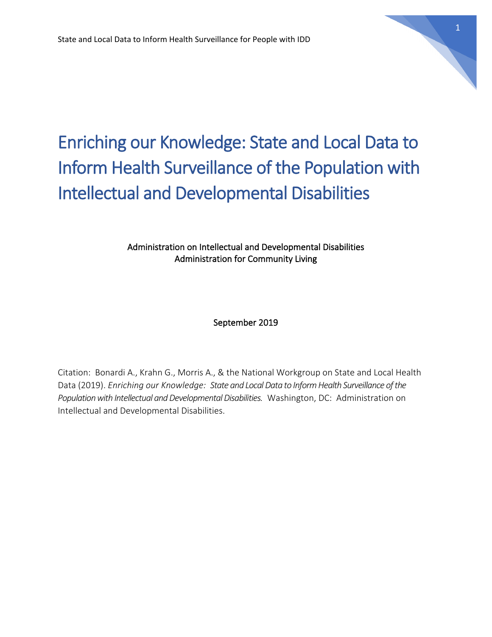

## Enriching our Knowledge: State and Local Data to Inform Health Surveillance of the Population with Intellectual and Developmental Disabilities

#### Administration on Intellectual and Developmental Disabilities Administration for Community Living

#### September 2019

Citation: Bonardi A., Krahn G., Morris A., & the National Workgroup on State and Local Health Data (2019). *Enriching our Knowledge: State and Local Data to Inform Health Surveillance of the Population with Intellectual and Developmental Disabilities.* Washington, DC: Administration on Intellectual and Developmental Disabilities.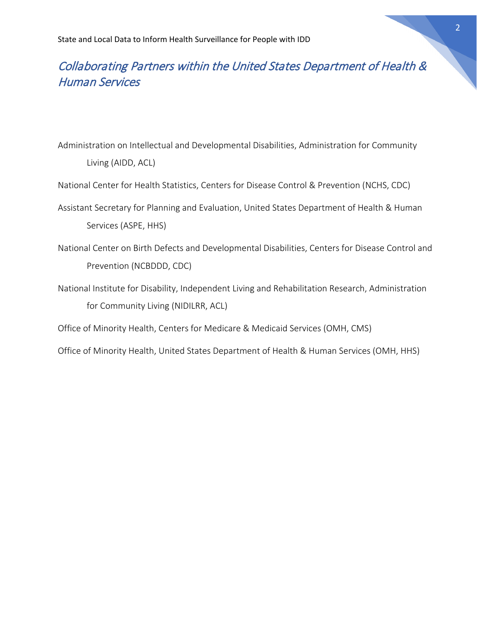## Collaborating Partners within the United States Department of Health & Human Services

Administration on Intellectual and Developmental Disabilities, Administration for Community Living (AIDD, ACL)

National Center for Health Statistics, Centers for Disease Control & Prevention (NCHS, CDC)

- Assistant Secretary for Planning and Evaluation, United States Department of Health & Human Services (ASPE, HHS)
- National Center on Birth Defects and Developmental Disabilities, Centers for Disease Control and Prevention (NCBDDD, CDC)
- National Institute for Disability, Independent Living and Rehabilitation Research, Administration for Community Living (NIDILRR, ACL)

Office of Minority Health, Centers for Medicare & Medicaid Services (OMH, CMS)

Office of Minority Health, United States Department of Health & Human Services (OMH, HHS)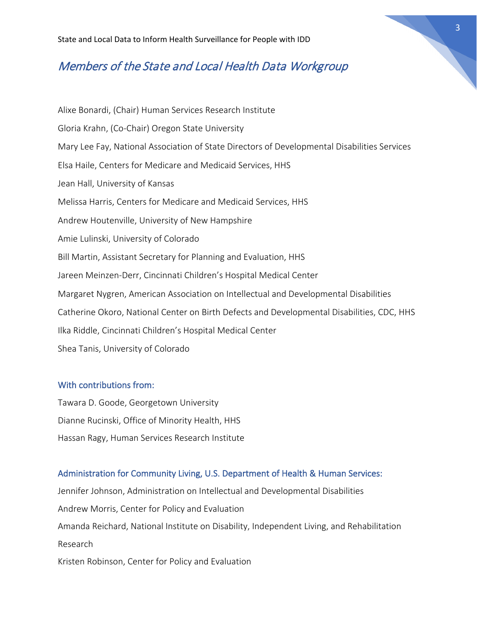## Members of the State and Local Health Data Workgroup

Alixe Bonardi, (Chair) Human Services Research Institute Gloria Krahn, (Co-Chair) Oregon State University Mary Lee Fay, National Association of State Directors of Developmental Disabilities Services Elsa Haile, Centers for Medicare and Medicaid Services, HHS Jean Hall, University of Kansas Melissa Harris, Centers for Medicare and Medicaid Services, HHS Andrew Houtenville, University of New Hampshire Amie Lulinski, University of Colorado Bill Martin, Assistant Secretary for Planning and Evaluation, HHS Jareen Meinzen-Derr, Cincinnati Children's Hospital Medical Center Margaret Nygren, American Association on Intellectual and Developmental Disabilities Catherine Okoro, National Center on Birth Defects and Developmental Disabilities, CDC, HHS Ilka Riddle, Cincinnati Children's Hospital Medical Center Shea Tanis, University of Colorado

#### With contributions from:

Tawara D. Goode, Georgetown University Dianne Rucinski, Office of Minority Health, HHS Hassan Ragy, Human Services Research Institute

#### Administration for Community Living, U.S. Department of Health & Human Services:

Jennifer Johnson, Administration on Intellectual and Developmental Disabilities Andrew Morris, Center for Policy and Evaluation Amanda Reichard, National Institute on Disability, Independent Living, and Rehabilitation Research Kristen Robinson, Center for Policy and Evaluation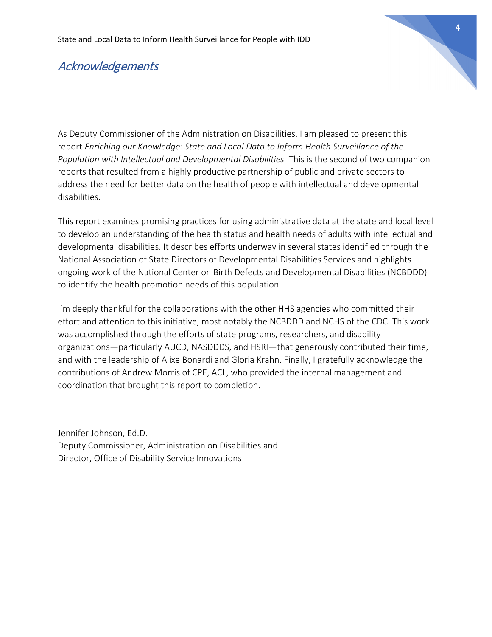## Acknowledgements

As Deputy Commissioner of the Administration on Disabilities, I am pleased to present this report *Enriching our Knowledge: State and Local Data to Inform Health Surveillance of the Population with Intellectual and Developmental Disabilities.* This is the second of two companion reports that resulted from a highly productive partnership of public and private sectors to address the need for better data on the health of people with intellectual and developmental disabilities.

This report examines promising practices for using administrative data at the state and local level to develop an understanding of the health status and health needs of adults with intellectual and developmental disabilities. It describes efforts underway in several states identified through the National Association of State Directors of Developmental Disabilities Services and highlights ongoing work of the National Center on Birth Defects and Developmental Disabilities (NCBDDD) to identify the health promotion needs of this population.

I'm deeply thankful for the collaborations with the other HHS agencies who committed their effort and attention to this initiative, most notably the NCBDDD and NCHS of the CDC. This work was accomplished through the efforts of state programs, researchers, and disability organizations—particularly AUCD, NASDDDS, and HSRI—that generously contributed their time, and with the leadership of Alixe Bonardi and Gloria Krahn. Finally, I gratefully acknowledge the contributions of Andrew Morris of CPE, ACL, who provided the internal management and coordination that brought this report to completion.

Jennifer Johnson, Ed.D. Deputy Commissioner, Administration on Disabilities and Director, Office of Disability Service Innovations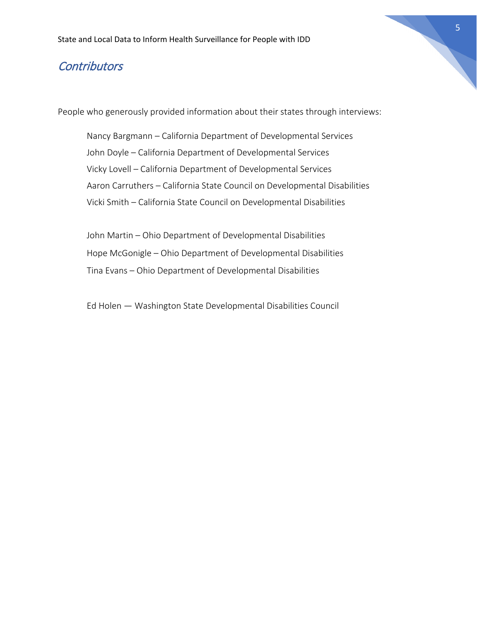## **Contributors**

People who generously provided information about their states through interviews:

Nancy Bargmann – California Department of Developmental Services John Doyle – California Department of Developmental Services Vicky Lovell – California Department of Developmental Services Aaron Carruthers – California State Council on Developmental Disabilities Vicki Smith – California State Council on Developmental Disabilities

John Martin – Ohio Department of Developmental Disabilities Hope McGonigle – Ohio Department of Developmental Disabilities Tina Evans – Ohio Department of Developmental Disabilities

Ed Holen — Washington State Developmental Disabilities Council

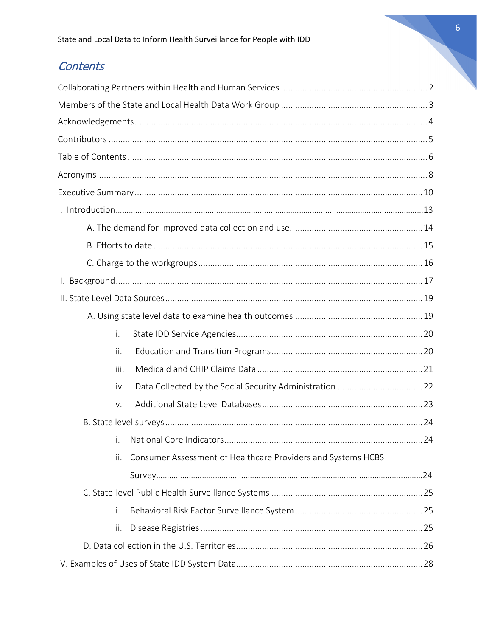## Contents

| i.   |                                                              |  |
|------|--------------------------------------------------------------|--|
| ii.  |                                                              |  |
| iii. |                                                              |  |
| iv.  |                                                              |  |
| V.   |                                                              |  |
|      |                                                              |  |
| i.   |                                                              |  |
| ii.  | Consumer Assessment of Healthcare Providers and Systems HCBS |  |
|      |                                                              |  |
|      |                                                              |  |
| i.   |                                                              |  |
| ii.  |                                                              |  |
|      |                                                              |  |
|      |                                                              |  |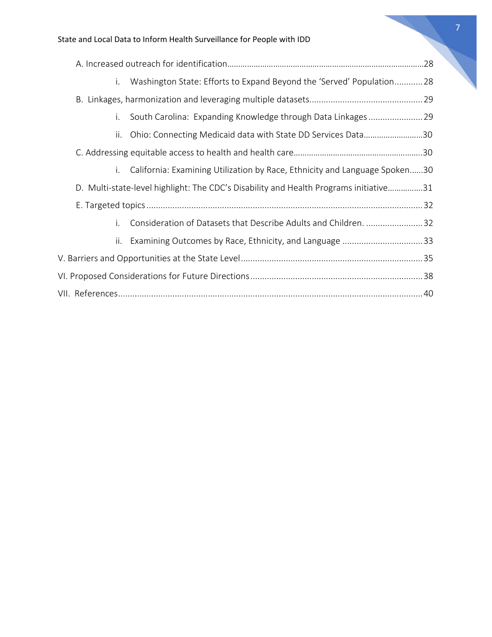| i. Washington State: Efforts to Expand Beyond the 'Served' Population28               |  |  |
|---------------------------------------------------------------------------------------|--|--|
|                                                                                       |  |  |
| South Carolina: Expanding Knowledge through Data Linkages29<br>i.                     |  |  |
| Ohio: Connecting Medicaid data with State DD Services Data30<br>ii.                   |  |  |
|                                                                                       |  |  |
| California: Examining Utilization by Race, Ethnicity and Language Spoken30<br>i.      |  |  |
| D. Multi-state-level highlight: The CDC's Disability and Health Programs initiative31 |  |  |
|                                                                                       |  |  |
| Consideration of Datasets that Describe Adults and Children. 32<br>i.                 |  |  |
| ii. Examining Outcomes by Race, Ethnicity, and Language 33                            |  |  |
|                                                                                       |  |  |
|                                                                                       |  |  |
|                                                                                       |  |  |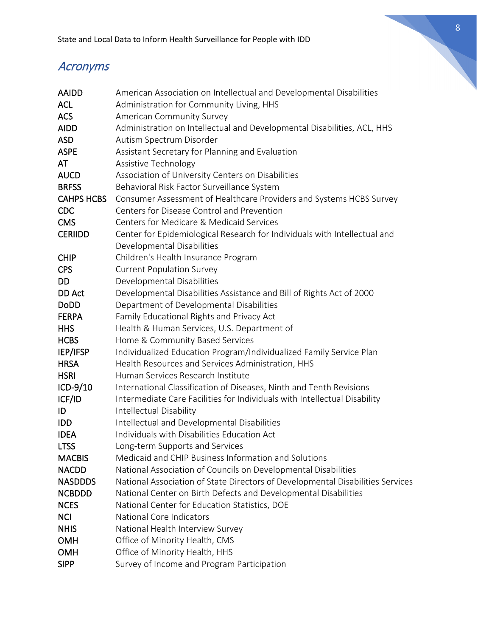# 8

## Acronyms

| AAIDD             | American Association on Intellectual and Developmental Disabilities            |
|-------------------|--------------------------------------------------------------------------------|
| <b>ACL</b>        | Administration for Community Living, HHS                                       |
| <b>ACS</b>        | American Community Survey                                                      |
| <b>AIDD</b>       | Administration on Intellectual and Developmental Disabilities, ACL, HHS        |
| <b>ASD</b>        | Autism Spectrum Disorder                                                       |
| <b>ASPE</b>       | Assistant Secretary for Planning and Evaluation                                |
| AT                | Assistive Technology                                                           |
| <b>AUCD</b>       | Association of University Centers on Disabilities                              |
| <b>BRFSS</b>      | Behavioral Risk Factor Surveillance System                                     |
| <b>CAHPS HCBS</b> | Consumer Assessment of Healthcare Providers and Systems HCBS Survey            |
| <b>CDC</b>        | Centers for Disease Control and Prevention                                     |
| <b>CMS</b>        | Centers for Medicare & Medicaid Services                                       |
| <b>CERIIDD</b>    | Center for Epidemiological Research for Individuals with Intellectual and      |
|                   | Developmental Disabilities                                                     |
| <b>CHIP</b>       | Children's Health Insurance Program                                            |
| <b>CPS</b>        | <b>Current Population Survey</b>                                               |
| DD                | Developmental Disabilities                                                     |
| DD Act            | Developmental Disabilities Assistance and Bill of Rights Act of 2000           |
| <b>DoDD</b>       | Department of Developmental Disabilities                                       |
| <b>FERPA</b>      | Family Educational Rights and Privacy Act                                      |
| <b>HHS</b>        | Health & Human Services, U.S. Department of                                    |
| <b>HCBS</b>       | Home & Community Based Services                                                |
| IEP/IFSP          | Individualized Education Program/Individualized Family Service Plan            |
| <b>HRSA</b>       | Health Resources and Services Administration, HHS                              |
| <b>HSRI</b>       | Human Services Research Institute                                              |
| ICD-9/10          | International Classification of Diseases, Ninth and Tenth Revisions            |
| ICF/ID            | Intermediate Care Facilities for Individuals with Intellectual Disability      |
| ID                | Intellectual Disability                                                        |
| <b>IDD</b>        | Intellectual and Developmental Disabilities                                    |
| <b>IDEA</b>       | Individuals with Disabilities Education Act                                    |
| <b>LTSS</b>       | Long-term Supports and Services                                                |
| <b>MACBIS</b>     | Medicaid and CHIP Business Information and Solutions                           |
| <b>NACDD</b>      | National Association of Councils on Developmental Disabilities                 |
| <b>NASDDDS</b>    | National Association of State Directors of Developmental Disabilities Services |
| <b>NCBDDD</b>     | National Center on Birth Defects and Developmental Disabilities                |
| <b>NCES</b>       | National Center for Education Statistics, DOE                                  |
| <b>NCI</b>        | National Core Indicators                                                       |
| <b>NHIS</b>       | National Health Interview Survey                                               |
| <b>OMH</b>        | Office of Minority Health, CMS                                                 |
| <b>OMH</b>        | Office of Minority Health, HHS                                                 |
| <b>SIPP</b>       | Survey of Income and Program Participation                                     |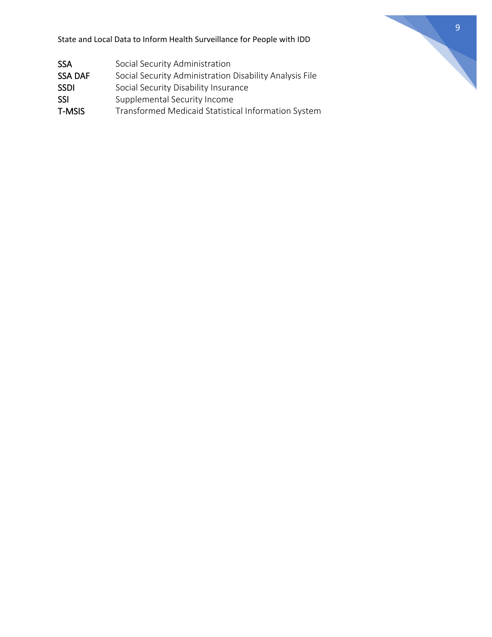| <b>SSA</b>    | Social Security Administration                          |
|---------------|---------------------------------------------------------|
| SSA DAF       | Social Security Administration Disability Analysis File |
| <b>SSDI</b>   | Social Security Disability Insurance                    |
| SSI           | Supplemental Security Income                            |
| <b>T-MSIS</b> | Transformed Medicaid Statistical Information System     |

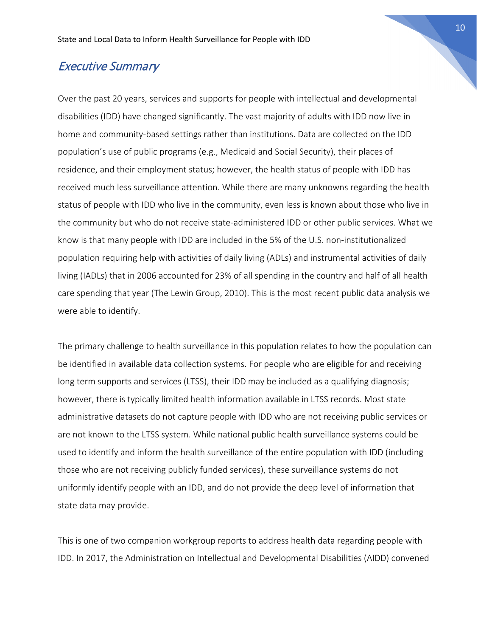## Executive Summary

Over the past 20 years, services and supports for people with intellectual and developmental disabilities (IDD) have changed significantly. The vast majority of adults with IDD now live in home and community-based settings rather than institutions. Data are collected on the IDD population's use of public programs (e.g., Medicaid and Social Security), their places of residence, and their employment status; however, the health status of people with IDD has received much less surveillance attention. While there are many unknowns regarding the health status of people with IDD who live in the community, even less is known about those who live in the community but who do not receive state-administered IDD or other public services. What we know is that many people with IDD are included in the 5% of the U.S. non-institutionalized population requiring help with activities of daily living (ADLs) and instrumental activities of daily living (IADLs) that in 2006 accounted for 23% of all spending in the country and half of all health care spending that year (The Lewin Group, 2010). This is the most recent public data analysis we were able to identify.

The primary challenge to health surveillance in this population relates to how the population can be identified in available data collection systems. For people who are eligible for and receiving long term supports and services (LTSS), their IDD may be included as a qualifying diagnosis; however, there is typically limited health information available in LTSS records. Most state administrative datasets do not capture people with IDD who are not receiving public services or are not known to the LTSS system. While national public health surveillance systems could be used to identify and inform the health surveillance of the entire population with IDD (including those who are not receiving publicly funded services), these surveillance systems do not uniformly identify people with an IDD, and do not provide the deep level of information that state data may provide.

This is one of two companion workgroup reports to address health data regarding people with IDD. In 2017, the Administration on Intellectual and Developmental Disabilities (AIDD) convened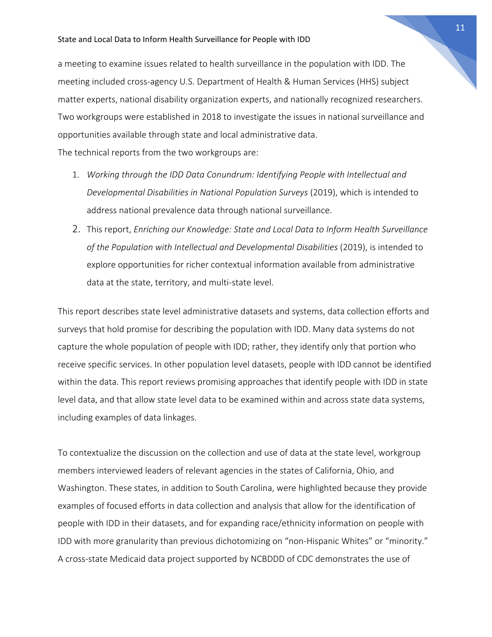a meeting to examine issues related to health surveillance in the population with IDD. The meeting included cross-agency U.S. Department of Health & Human Services (HHS) subject matter experts, national disability organization experts, and nationally recognized researchers. Two workgroups were established in 2018 to investigate the issues in national surveillance and opportunities available through state and local administrative data.

The technical reports from the two workgroups are:

- 1. *Working through the IDD Data Conundrum: Identifying People with Intellectual and Developmental Disabilities in National Population Surveys* (2019), which is intended to address national prevalence data through national surveillance.
- 2. This report, *Enriching our Knowledge: State and Local Data to Inform Health Surveillance of the Population with Intellectual and Developmental Disabilities* (2019), is intended to explore opportunities for richer contextual information available from administrative data at the state, territory, and multi-state level.

This report describes state level administrative datasets and systems, data collection efforts and surveys that hold promise for describing the population with IDD. Many data systems do not capture the whole population of people with IDD; rather, they identify only that portion who receive specific services. In other population level datasets, people with IDD cannot be identified within the data. This report reviews promising approaches that identify people with IDD in state level data, and that allow state level data to be examined within and across state data systems, including examples of data linkages.

To contextualize the discussion on the collection and use of data at the state level, workgroup members interviewed leaders of relevant agencies in the states of California, Ohio, and Washington. These states, in addition to South Carolina, were highlighted because they provide examples of focused efforts in data collection and analysis that allow for the identification of people with IDD in their datasets, and for expanding race/ethnicity information on people with IDD with more granularity than previous dichotomizing on "non-Hispanic Whites" or "minority." A cross-state Medicaid data project supported by NCBDDD of CDC demonstrates the use of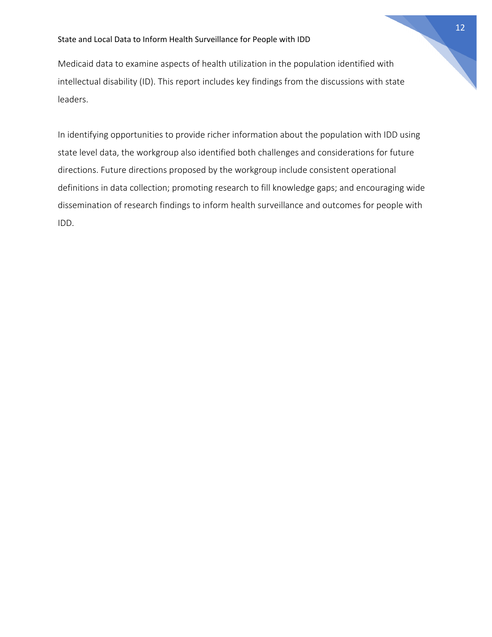Medicaid data to examine aspects of health utilization in the population identified with intellectual disability (ID). This report includes key findings from the discussions with state leaders.

In identifying opportunities to provide richer information about the population with IDD using state level data, the workgroup also identified both challenges and considerations for future directions. Future directions proposed by the workgroup include consistent operational definitions in data collection; promoting research to fill knowledge gaps; and encouraging wide dissemination of research findings to inform health surveillance and outcomes for people with IDD.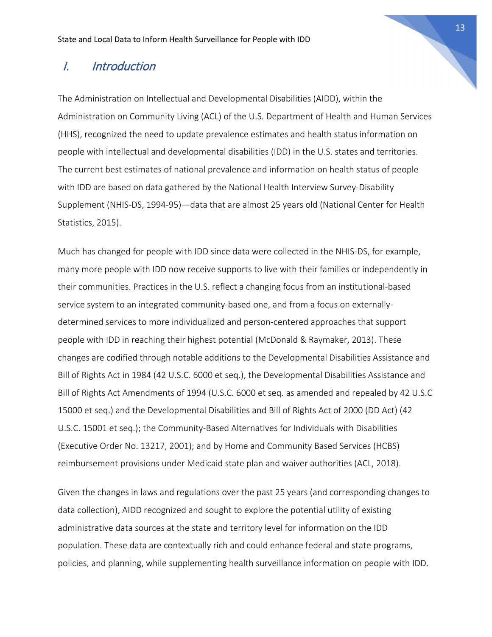## I. Introduction

The Administration on Intellectual and Developmental Disabilities (AIDD), within the Administration on Community Living (ACL) of the U.S. Department of Health and Human Services (HHS), recognized the need to update prevalence estimates and health status information on people with intellectual and developmental disabilities (IDD) in the U.S. states and territories. The current best estimates of national prevalence and information on health status of people with IDD are based on data gathered by the National Health Interview Survey-Disability Supplement (NHIS-DS, 1994-95)—data that are almost 25 years old (National Center for Health Statistics, 2015).

Much has changed for people with IDD since data were collected in the NHIS-DS, for example, many more people with IDD now receive supports to live with their families or independently in their communities. Practices in the U.S. reflect a changing focus from an institutional-based service system to an integrated community-based one, and from a focus on externallydetermined services to more individualized and person-centered approaches that support people with IDD in reaching their highest potential (McDonald & Raymaker, 2013). These changes are codified through notable additions to the Developmental Disabilities Assistance and Bill of Rights Act in 1984 (42 U.S.C. 6000 et seq.), the Developmental Disabilities Assistance and Bill of Rights Act Amendments of 1994 (U.S.C. 6000 et seq. as amended and repealed by 42 U.S.C 15000 et seq.) and the Developmental Disabilities and Bill of Rights Act of 2000 (DD Act) (42 U.S.C. 15001 et seq.); the Community-Based Alternatives for Individuals with Disabilities (Executive Order No. 13217, 2001); and by Home and Community Based Services (HCBS) reimbursement provisions under Medicaid state plan and waiver authorities (ACL, 2018).

Given the changes in laws and regulations over the past 25 years (and corresponding changes to data collection), AIDD recognized and sought to explore the potential utility of existing administrative data sources at the state and territory level for information on the IDD population. These data are contextually rich and could enhance federal and state programs, policies, and planning, while supplementing health surveillance information on people with IDD.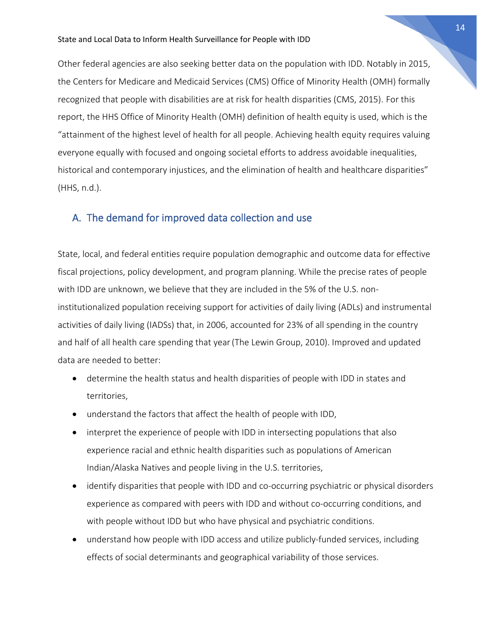Other federal agencies are also seeking better data on the population with IDD. Notably in 2015, the Centers for Medicare and Medicaid Services (CMS) Office of Minority Health (OMH) formally recognized that people with disabilities are at risk for health disparities (CMS, 2015). For this report, the HHS Office of Minority Health (OMH) definition of health equity is used, which is the "attainment of the highest level of health for all people. Achieving health equity requires valuing everyone equally with focused and ongoing societal efforts to address avoidable inequalities, historical and contemporary injustices, and the elimination of health and healthcare disparities" (HHS, n.d.).

#### A. The demand for improved data collection and use

State, local, and federal entities require population demographic and outcome data for effective fiscal projections, policy development, and program planning. While the precise rates of people with IDD are unknown, we believe that they are included in the 5% of the U.S. noninstitutionalized population receiving support for activities of daily living (ADLs) and instrumental activities of daily living (IADSs) that, in 2006, accounted for 23% of all spending in the country and half of all health care spending that year(The Lewin Group, 2010). Improved and updated data are needed to better:

- determine the health status and health disparities of people with IDD in states and territories,
- understand the factors that affect the health of people with IDD,
- interpret the experience of people with IDD in intersecting populations that also experience racial and ethnic health disparities such as populations of American Indian/Alaska Natives and people living in the U.S. territories,
- identify disparities that people with IDD and co-occurring psychiatric or physical disorders experience as compared with peers with IDD and without co-occurring conditions, and with people without IDD but who have physical and psychiatric conditions.
- understand how people with IDD access and utilize publicly-funded services, including effects of social determinants and geographical variability of those services.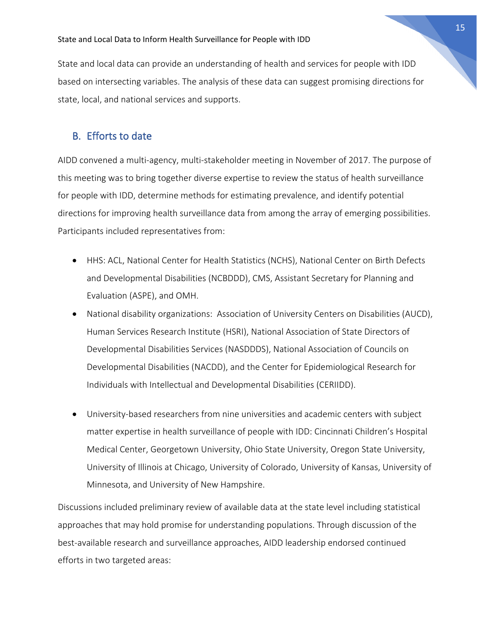State and local data can provide an understanding of health and services for people with IDD based on intersecting variables. The analysis of these data can suggest promising directions for state, local, and national services and supports.

#### B. Efforts to date

AIDD convened a multi-agency, multi-stakeholder meeting in November of 2017. The purpose of this meeting was to bring together diverse expertise to review the status of health surveillance for people with IDD, determine methods for estimating prevalence, and identify potential directions for improving health surveillance data from among the array of emerging possibilities. Participants included representatives from:

- HHS: ACL, National Center for Health Statistics (NCHS), National Center on Birth Defects and Developmental Disabilities (NCBDDD), CMS, Assistant Secretary for Planning and Evaluation (ASPE), and OMH.
- National disability organizations: Association of University Centers on Disabilities (AUCD), Human Services Research Institute (HSRI), National Association of State Directors of Developmental Disabilities Services (NASDDDS), National Association of Councils on Developmental Disabilities (NACDD), and the Center for Epidemiological Research for Individuals with Intellectual and Developmental Disabilities (CERIIDD).
- University-based researchers from nine universities and academic centers with subject matter expertise in health surveillance of people with IDD: Cincinnati Children's Hospital Medical Center, Georgetown University, Ohio State University, Oregon State University, University of Illinois at Chicago, University of Colorado, University of Kansas, University of Minnesota, and University of New Hampshire.

Discussions included preliminary review of available data at the state level including statistical approaches that may hold promise for understanding populations. Through discussion of the best-available research and surveillance approaches, AIDD leadership endorsed continued efforts in two targeted areas: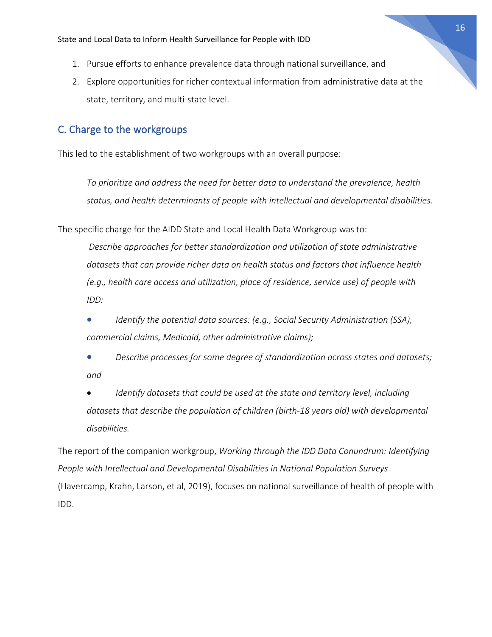- 1. Pursue efforts to enhance prevalence data through national surveillance, and
- 2. Explore opportunities for richer contextual information from administrative data at the state, territory, and multi-state level.

## C. Charge to the workgroups

This led to the establishment of two workgroups with an overall purpose:

*To prioritize and address the need for better data to understand the prevalence, health status, and health determinants of people with intellectual and developmental disabilities.*

The specific charge for the AIDD State and Local Health Data Workgroup was to:

*Describe approaches for better standardization and utilization of state administrative datasets that can provide richer data on health status and factors that influence health (e.g., health care access and utilization, place of residence, service use) of people with IDD:*

• *Identify the potential data sources: (e.g., Social Security Administration (SSA), commercial claims, Medicaid, other administrative claims);*

• *Describe processes for some degree of standardization across states and datasets; and* 

• *Identify datasets that could be used at the state and territory level, including datasets that describe the population of children (birth-18 years old) with developmental disabilities.* 

The report of the companion workgroup, *Working through the IDD Data Conundrum: Identifying People with Intellectual and Developmental Disabilities in National Population Surveys*  (Havercamp, Krahn, Larson, et al, 2019), focuses on national surveillance of health of people with IDD.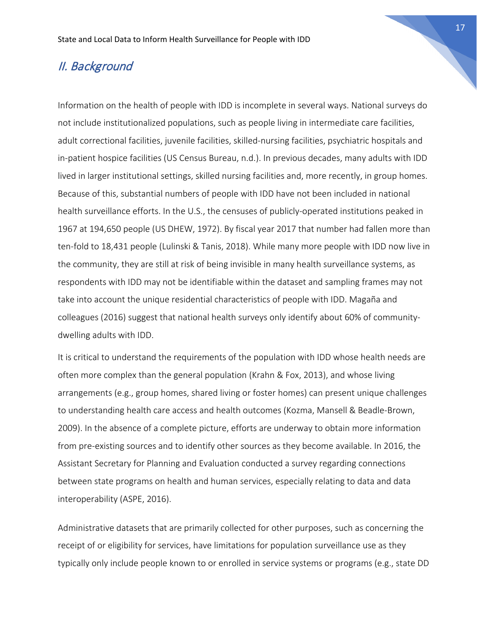## II. Background

Information on the health of people with IDD is incomplete in several ways. National surveys do not include institutionalized populations, such as people living in intermediate care facilities, adult correctional facilities, juvenile facilities, skilled-nursing facilities, psychiatric hospitals and in-patient hospice facilities (US Census Bureau, n.d.). In previous decades, many adults with IDD lived in larger institutional settings, skilled nursing facilities and, more recently, in group homes. Because of this, substantial numbers of people with IDD have not been included in national health surveillance efforts. In the U.S., the censuses of publicly-operated institutions peaked in 1967 at 194,650 people (US DHEW, 1972). By fiscal year 2017 that number had fallen more than ten-fold to 18,431 people (Lulinski & Tanis, 2018). While many more people with IDD now live in the community, they are still at risk of being invisible in many health surveillance systems, as respondents with IDD may not be identifiable within the dataset and sampling frames may not take into account the unique residential characteristics of people with IDD. Magaña and colleagues (2016) suggest that national health surveys only identify about 60% of communitydwelling adults with IDD.

It is critical to understand the requirements of the population with IDD whose health needs are often more complex than the general population (Krahn & Fox, 2013), and whose living arrangements (e.g., group homes, shared living or foster homes) can present unique challenges to understanding health care access and health outcomes (Kozma, Mansell & Beadle-Brown, 2009). In the absence of a complete picture, efforts are underway to obtain more information from pre-existing sources and to identify other sources as they become available. In 2016, the Assistant Secretary for Planning and Evaluation conducted a survey regarding connections between state programs on health and human services, especially relating to data and data interoperability (ASPE, 2016).

Administrative datasets that are primarily collected for other purposes, such as concerning the receipt of or eligibility for services, have limitations for population surveillance use as they typically only include people known to or enrolled in service systems or programs (e.g., state DD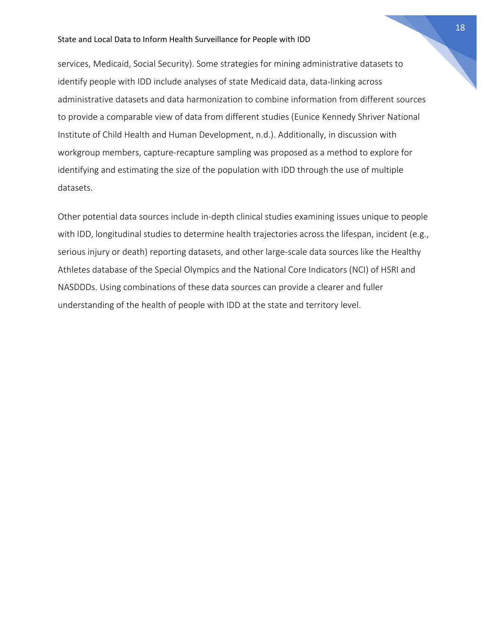services, Medicaid, Social Security). Some strategies for mining administrative datasets to identify people with IDD include analyses of state Medicaid data, data-linking across administrative datasets and data harmonization to combine information from different sources to provide a comparable view of data from different studies (Eunice Kennedy Shriver National Institute of Child Health and Human Development, n.d.). Additionally, in discussion with workgroup members, capture-recapture sampling was proposed as a method to explore for identifying and estimating the size of the population with IDD through the use of multiple datasets.

Other potential data sources include in-depth clinical studies examining issues unique to people with IDD, longitudinal studies to determine health trajectories across the lifespan, incident (e.g., serious injury or death) reporting datasets, and other large-scale data sources like the Healthy Athletes database of the Special Olympics and the National Core Indicators (NCI) of HSRI and NASDDDs. Using combinations of these data sources can provide a clearer and fuller understanding of the health of people with IDD at the state and territory level.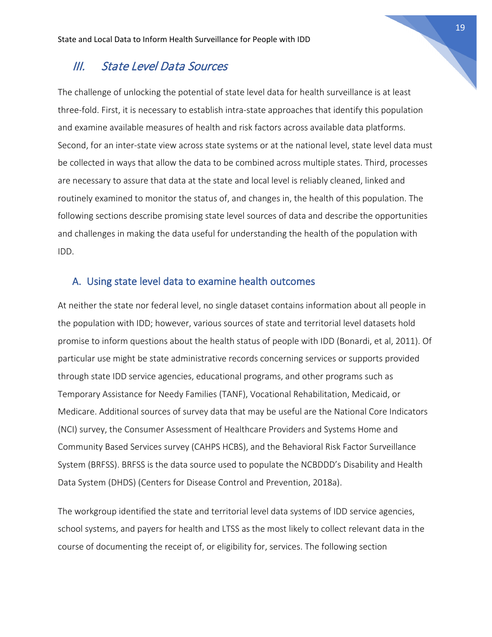### III. State Level Data Sources

The challenge of unlocking the potential of state level data for health surveillance is at least three-fold. First, it is necessary to establish intra-state approaches that identify this population and examine available measures of health and risk factors across available data platforms. Second, for an inter-state view across state systems or at the national level, state level data must be collected in ways that allow the data to be combined across multiple states. Third, processes are necessary to assure that data at the state and local level is reliably cleaned, linked and routinely examined to monitor the status of, and changes in, the health of this population. The following sections describe promising state level sources of data and describe the opportunities and challenges in making the data useful for understanding the health of the population with IDD.

#### A. Using state level data to examine health outcomes

At neither the state nor federal level, no single dataset contains information about all people in the population with IDD; however, various sources of state and territorial level datasets hold promise to inform questions about the health status of people with IDD (Bonardi, et al, 2011). Of particular use might be state administrative records concerning services or supports provided through state IDD service agencies, educational programs, and other programs such as Temporary Assistance for Needy Families (TANF), Vocational Rehabilitation, Medicaid, or Medicare. Additional sources of survey data that may be useful are the National Core Indicators (NCI) survey, the Consumer Assessment of Healthcare Providers and Systems Home and Community Based Services survey (CAHPS HCBS), and the Behavioral Risk Factor Surveillance System (BRFSS). BRFSS is the data source used to populate the NCBDDD's Disability and Health Data System (DHDS) (Centers for Disease Control and Prevention, 2018a).

The workgroup identified the state and territorial level data systems of IDD service agencies, school systems, and payers for health and LTSS as the most likely to collect relevant data in the course of documenting the receipt of, or eligibility for, services. The following section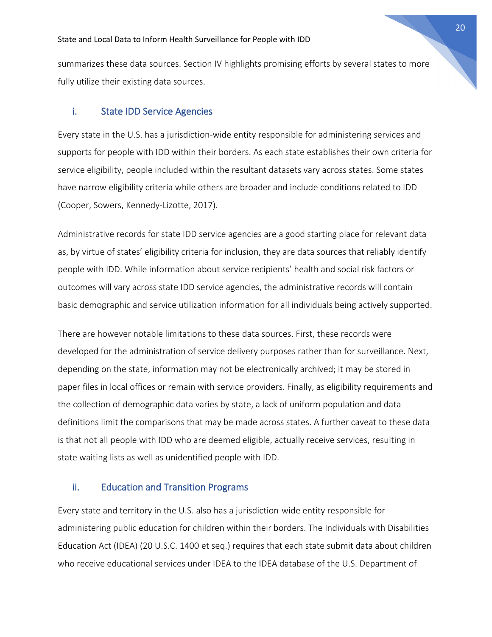summarizes these data sources. Section IV highlights promising efforts by several states to more fully utilize their existing data sources.

#### i. State IDD Service Agencies

Every state in the U.S. has a jurisdiction-wide entity responsible for administering services and supports for people with IDD within their borders. As each state establishes their own criteria for service eligibility, people included within the resultant datasets vary across states. Some states have narrow eligibility criteria while others are broader and include conditions related to IDD (Cooper, Sowers, Kennedy-Lizotte, 2017).

Administrative records for state IDD service agencies are a good starting place for relevant data as, by virtue of states' eligibility criteria for inclusion, they are data sources that reliably identify people with IDD. While information about service recipients' health and social risk factors or outcomes will vary across state IDD service agencies, the administrative records will contain basic demographic and service utilization information for all individuals being actively supported.

There are however notable limitations to these data sources. First, these records were developed for the administration of service delivery purposes rather than for surveillance. Next, depending on the state, information may not be electronically archived; it may be stored in paper files in local offices or remain with service providers. Finally, as eligibility requirements and the collection of demographic data varies by state, a lack of uniform population and data definitions limit the comparisons that may be made across states. A further caveat to these data is that not all people with IDD who are deemed eligible, actually receive services, resulting in state waiting lists as well as unidentified people with IDD.

#### ii. Education and Transition Programs

Every state and territory in the U.S. also has a jurisdiction-wide entity responsible for administering public education for children within their borders. The Individuals with Disabilities Education Act (IDEA) (20 U.S.C. 1400 et seq.) requires that each state submit data about children who receive educational services under IDEA to the IDEA database of the U.S. Department of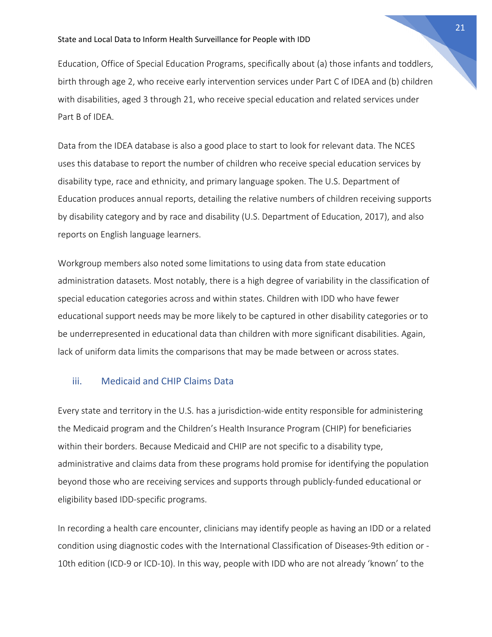Education, Office of Special Education Programs, specifically about (a) those infants and toddlers, birth through age 2, who receive early intervention services under Part C of IDEA and (b) children with disabilities, aged 3 through 21, who receive special education and related services under Part B of IDEA.

Data from the IDEA database is also a good place to start to look for relevant data. The NCES uses this database to report the number of children who receive special education services by disability type, race and ethnicity, and primary language spoken. The U.S. Department of Education produces annual reports, detailing the relative numbers of children receiving supports by disability category and by race and disability (U.S. Department of Education, 2017), and also reports on English language learners.

Workgroup members also noted some limitations to using data from state education administration datasets. Most notably, there is a high degree of variability in the classification of special education categories across and within states. Children with IDD who have fewer educational support needs may be more likely to be captured in other disability categories or to be underrepresented in educational data than children with more significant disabilities. Again, lack of uniform data limits the comparisons that may be made between or across states.

#### iii. Medicaid and CHIP Claims Data

Every state and territory in the U.S. has a jurisdiction-wide entity responsible for administering the Medicaid program and the Children's Health Insurance Program (CHIP) for beneficiaries within their borders. Because Medicaid and CHIP are not specific to a disability type, administrative and claims data from these programs hold promise for identifying the population beyond those who are receiving services and supports through publicly-funded educational or eligibility based IDD-specific programs.

In recording a health care encounter, clinicians may identify people as having an IDD or a related condition using diagnostic codes with the International Classification of Diseases-9th edition or - 10th edition (ICD-9 or ICD-10). In this way, people with IDD who are not already 'known' to the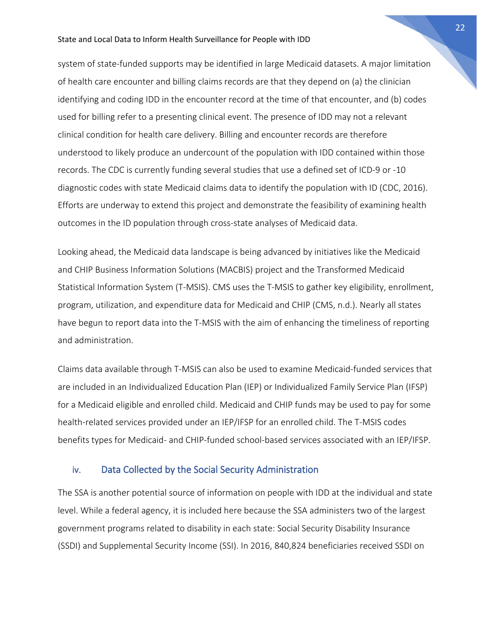system of state-funded supports may be identified in large Medicaid datasets. A major limitation of health care encounter and billing claims records are that they depend on (a) the clinician identifying and coding IDD in the encounter record at the time of that encounter, and (b) codes used for billing refer to a presenting clinical event. The presence of IDD may not a relevant clinical condition for health care delivery. Billing and encounter records are therefore understood to likely produce an undercount of the population with IDD contained within those records. The CDC is currently funding several studies that use a defined set of ICD-9 or -10 diagnostic codes with state Medicaid claims data to identify the population with ID (CDC, 2016). Efforts are underway to extend this project and demonstrate the feasibility of examining health outcomes in the ID population through cross-state analyses of Medicaid data.

Looking ahead, the Medicaid data landscape is being advanced by initiatives like the Medicaid and CHIP Business Information Solutions (MACBIS) project and the Transformed Medicaid Statistical Information System (T-MSIS). CMS uses the T-MSIS to gather key eligibility, enrollment, program, utilization, and expenditure data for Medicaid and CHIP (CMS, n.d.). Nearly all states have begun to report data into the T-MSIS with the aim of enhancing the timeliness of reporting and administration.

Claims data available through T-MSIS can also be used to examine Medicaid-funded services that are included in an Individualized Education Plan (IEP) or Individualized Family Service Plan (IFSP) for a Medicaid eligible and enrolled child. Medicaid and CHIP funds may be used to pay for some health-related services provided under an IEP/IFSP for an enrolled child. The T-MSIS codes benefits types for Medicaid- and CHIP-funded school-based services associated with an IEP/IFSP.

#### iv. Data Collected by the Social Security Administration

The SSA is another potential source of information on people with IDD at the individual and state level. While a federal agency, it is included here because the SSA administers two of the largest government programs related to disability in each state: Social Security Disability Insurance (SSDI) and Supplemental Security Income (SSI). In 2016, 840,824 beneficiaries received SSDI on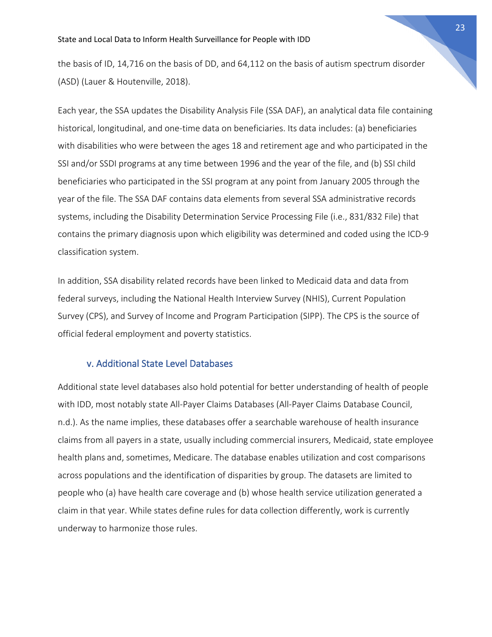the basis of ID, 14,716 on the basis of DD, and 64,112 on the basis of autism spectrum disorder (ASD) (Lauer & Houtenville, 2018).

Each year, the SSA updates the Disability Analysis File (SSA DAF), an analytical data file containing historical, longitudinal, and one-time data on beneficiaries. Its data includes: (a) beneficiaries with disabilities who were between the ages 18 and retirement age and who participated in the SSI and/or SSDI programs at any time between 1996 and the year of the file, and (b) SSI child beneficiaries who participated in the SSI program at any point from January 2005 through the year of the file. The SSA DAF contains data elements from several SSA administrative records systems, including the Disability Determination Service Processing File (i.e., 831/832 File) that contains the primary diagnosis upon which eligibility was determined and coded using the ICD-9 classification system.

In addition, SSA disability related records have been linked to Medicaid data and data from federal surveys, including the National Health Interview Survey (NHIS), Current Population Survey (CPS), and Survey of Income and Program Participation (SIPP). The CPS is the source of official federal employment and poverty statistics.

#### v. Additional State Level Databases

Additional state level databases also hold potential for better understanding of health of people with IDD, most notably state All-Payer Claims Databases (All-Payer Claims Database Council, n.d.). As the name implies, these databases offer a searchable warehouse of health insurance claims from all payers in a state, usually including commercial insurers, Medicaid, state employee health plans and, sometimes, Medicare. The database enables utilization and cost comparisons across populations and the identification of disparities by group. The datasets are limited to people who (a) have health care coverage and (b) whose health service utilization generated a claim in that year. While states define rules for data collection differently, work is currently underway to harmonize those rules.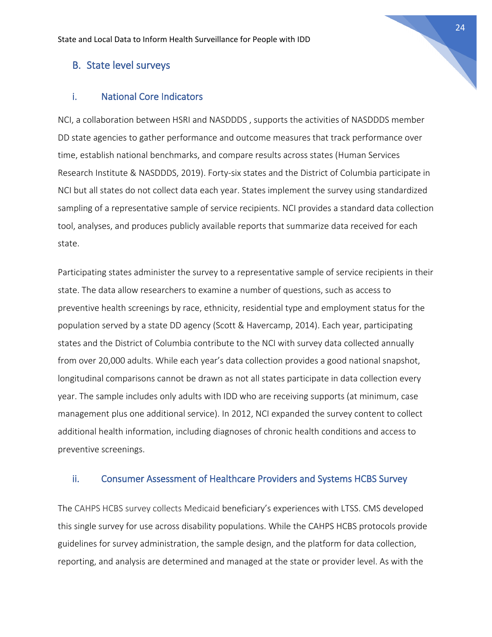#### B. State level surveys

#### i. National Core Indicators

NCI, a collaboration between HSRI and [NASDDDS](http://www.nasddds.org/index.shtml) , supports the activities of NASDDDS member DD state agencies to gather performance and outcome measures that track performance over time, establish national benchmarks, and compare results across states (Human Services Research Institute & NASDDDS, 2019). Forty-six states and the District of Columbia participate in NCI but all states do not collect data each year. States implement the survey using standardized sampling of a representative sample of service recipients. NCI provides a standard data collection tool, analyses, and produces publicly available reports that summarize data received for each state.

Participating states administer the survey to a representative sample of service recipients in their state. The data allow researchers to examine a number of questions, such as access to preventive health screenings by race, ethnicity, residential type and employment status for the population served by a state DD agency (Scott & Havercamp, 2014). Each year, participating states and the District of Columbia contribute to the NCI with survey data collected annually from over 20,000 adults. While each year's data collection provides a good national snapshot, longitudinal comparisons cannot be drawn as not all states participate in data collection every year. The sample includes only adults with IDD who are receiving supports (at minimum, case management plus one additional service). In 2012, NCI expanded the survey content to collect additional health information, including diagnoses of chronic health conditions and access to preventive screenings.

#### ii. Consumer Assessment of Healthcare Providers and Systems HCBS Survey

The CAHPS HCBS survey collects Medicaid beneficiary's experiences with LTSS. CMS developed this single survey for use across disability populations. While the CAHPS HCBS protocols provide guidelines for survey administration, the sample design, and the platform for data collection, reporting, and analysis are determined and managed at the state or provider level. As with the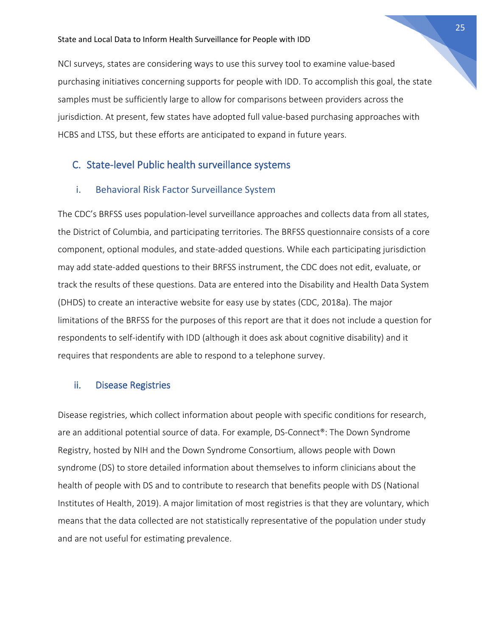NCI surveys, states are considering ways to use this survey tool to examine value-based purchasing initiatives concerning supports for people with IDD. To accomplish this goal, the state samples must be sufficiently large to allow for comparisons between providers across the jurisdiction. At present, few states have adopted full value-based purchasing approaches with HCBS and LTSS, but these efforts are anticipated to expand in future years.

#### C. State-level Public health surveillance systems

#### i. Behavioral Risk Factor Surveillance System

The CDC's BRFSS uses population-level surveillance approaches and collects data from all states, the District of Columbia, and participating territories. The BRFSS questionnaire consists of a core component, optional modules, and state-added questions. While each participating jurisdiction may add state-added questions to their BRFSS instrument, the CDC does not edit, evaluate, or track the results of these questions. Data are entered into the Disability and Health Data System (DHDS) to create an interactive website for easy use by states (CDC, 2018a). The major limitations of the BRFSS for the purposes of this report are that it does not include a question for respondents to self-identify with IDD (although it does ask about cognitive disability) and it requires that respondents are able to respond to a telephone survey.

#### ii. Disease Registries

Disease registries, which collect information about people with specific conditions for research, are an additional potential source of data. For example, DS-Connect®: The Down Syndrome Registry, hosted by NIH and the Down Syndrome Consortium, allows people with Down syndrome (DS) to store detailed information about themselves to inform clinicians about the health of people with DS and to contribute to research that benefits people with DS (National Institutes of Health, 2019). A major limitation of most registries is that they are voluntary, which means that the data collected are not statistically representative of the population under study and are not useful for estimating prevalence.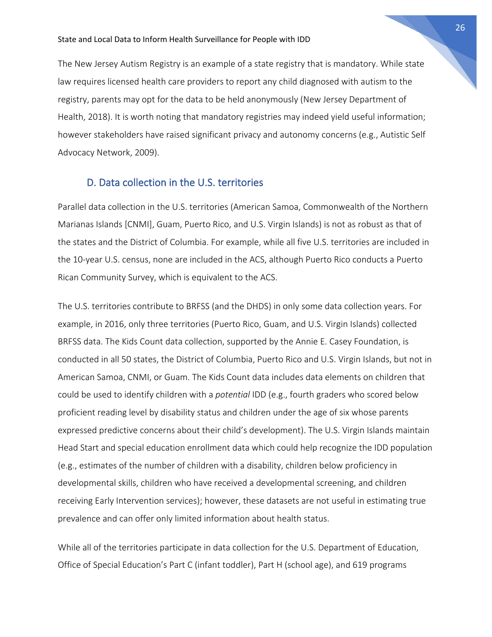The New Jersey Autism Registry is an example of a state registry that is mandatory. While state law requires licensed health care providers to report any child diagnosed with autism to the registry, parents may opt for the data to be held anonymously (New Jersey Department of Health, 2018). It is worth noting that mandatory registries may indeed yield useful information; however stakeholders have raised significant privacy and autonomy concerns (e.g., Autistic Self Advocacy Network, 2009).

#### D. Data collection in the U.S. territories

Parallel data collection in the U.S. territories (American Samoa, Commonwealth of the Northern Marianas Islands [CNMI], Guam, Puerto Rico, and U.S. Virgin Islands) is not as robust as that of the states and the District of Columbia. For example, while all five U.S. territories are included in the 10-year U.S. census, none are included in the ACS, although Puerto Rico conducts a Puerto Rican Community Survey, which is equivalent to the ACS.

The U.S. territories contribute to BRFSS (and the DHDS) in only some data collection years. For example, in 2016, only three territories (Puerto Rico, Guam, and U.S. Virgin Islands) collected BRFSS data. The Kids Count data collection, supported by the Annie E. Casey Foundation, is conducted in all 50 states, the District of Columbia, Puerto Rico and U.S. Virgin Islands, but not in American Samoa, CNMI, or Guam. The Kids Count data includes data elements on children that could be used to identify children with a *potential* IDD (e.g., fourth graders who scored below proficient reading level by disability status and children under the age of six whose parents expressed predictive concerns about their child's development). The U.S. Virgin Islands maintain Head Start and special education enrollment data which could help recognize the IDD population (e.g., estimates of the number of children with a disability, children below proficiency in developmental skills, children who have received a developmental screening, and children receiving Early Intervention services); however, these datasets are not useful in estimating true prevalence and can offer only limited information about health status.

While all of the territories participate in data collection for the U.S. Department of Education, Office of Special Education's Part C (infant toddler), Part H (school age), and 619 programs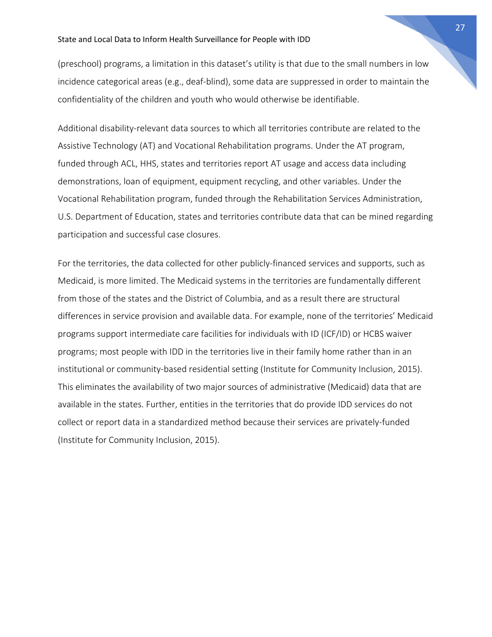(preschool) programs, a limitation in this dataset's utility is that due to the small numbers in low incidence categorical areas (e.g., deaf-blind), some data are suppressed in order to maintain the confidentiality of the children and youth who would otherwise be identifiable.

Additional disability-relevant data sources to which all territories contribute are related to the Assistive Technology (AT) and Vocational Rehabilitation programs. Under the AT program, funded through ACL, HHS, states and territories report AT usage and access data including demonstrations, loan of equipment, equipment recycling, and other variables. Under the Vocational Rehabilitation program, funded through the Rehabilitation Services Administration, U.S. Department of Education, states and territories contribute data that can be mined regarding participation and successful case closures.

For the territories, the data collected for other publicly-financed services and supports, such as Medicaid, is more limited. The Medicaid systems in the territories are fundamentally different from those of the states and the District of Columbia, and as a result there are structural differences in service provision and available data. For example, none of the territories' Medicaid programs support intermediate care facilities for individuals with ID (ICF/ID) or HCBS waiver programs; most people with IDD in the territories live in their family home rather than in an institutional or community-based residential setting (Institute for Community Inclusion, 2015). This eliminates the availability of two major sources of administrative (Medicaid) data that are available in the states. Further, entities in the territories that do provide IDD services do not collect or report data in a standardized method because their services are privately-funded (Institute for Community Inclusion, 2015).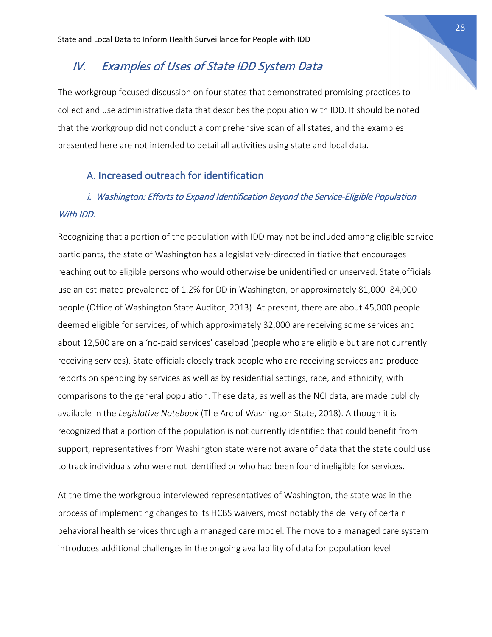## IV. Examples of Uses of State IDD System Data

The workgroup focused discussion on four states that demonstrated promising practices to collect and use administrative data that describes the population with IDD. It should be noted that the workgroup did not conduct a comprehensive scan of all states, and the examples presented here are not intended to detail all activities using state and local data.

#### A. Increased outreach for identification

## i. Washington: Efforts to Expand Identification Beyond the Service-Eligible Population With IDD.

Recognizing that a portion of the population with IDD may not be included among eligible service participants, the state of Washington has a legislatively-directed initiative that encourages reaching out to eligible persons who would otherwise be unidentified or unserved. State officials use an estimated prevalence of 1.2% for DD in Washington, or approximately 81,000–84,000 people (Office of Washington State Auditor, 2013). At present, there are about 45,000 people deemed eligible for services, of which approximately 32,000 are receiving some services and about 12,500 are on a 'no-paid services' caseload (people who are eligible but are not currently receiving services). State officials closely track people who are receiving services and produce reports on spending by services as well as by residential settings, race, and ethnicity, with comparisons to the general population. These data, as well as the NCI data, are made publicly available in the *Legislative Notebook* (The Arc of Washington State, 2018). Although it is recognized that a portion of the population is not currently identified that could benefit from support, representatives from Washington state were not aware of data that the state could use to track individuals who were not identified or who had been found ineligible for services.

At the time the workgroup interviewed representatives of Washington, the state was in the process of implementing changes to its HCBS waivers, most notably the delivery of certain behavioral health services through a managed care model. The move to a managed care system introduces additional challenges in the ongoing availability of data for population level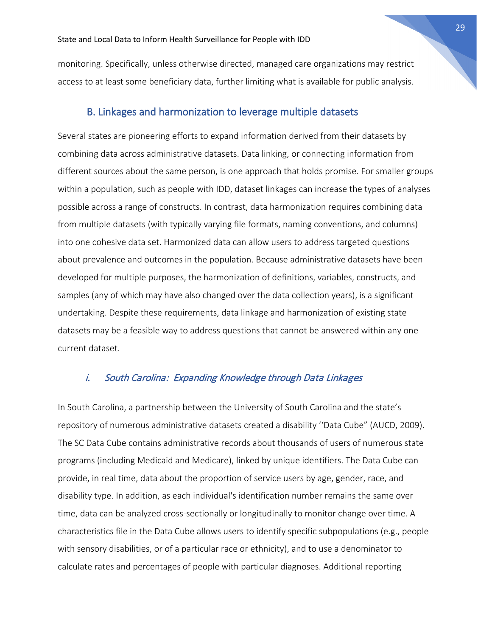monitoring. Specifically, unless otherwise directed, managed care organizations may restrict access to at least some beneficiary data, further limiting what is available for public analysis.

#### B. Linkages and harmonization to leverage multiple datasets

Several states are pioneering efforts to expand information derived from their datasets by combining data across administrative datasets. Data linking, or connecting information from different sources about the same person, is one approach that holds promise. For smaller groups within a population, such as people with IDD, dataset linkages can increase the types of analyses possible across a range of constructs. In contrast, data harmonization requires combining data from multiple datasets (with typically varying file formats, naming conventions, and columns) into one cohesive data set. Harmonized data can allow users to address targeted questions about prevalence and outcomes in the population. Because administrative datasets have been developed for multiple purposes, the harmonization of definitions, variables, constructs, and samples (any of which may have also changed over the data collection years), is a significant undertaking. Despite these requirements, data linkage and harmonization of existing state datasets may be a feasible way to address questions that cannot be answered within any one current dataset.

#### i. South Carolina: Expanding Knowledge through Data Linkages

In South Carolina, a partnership between the University of South Carolina and the state's repository of numerous administrative datasets created a disability ''Data Cube" (AUCD, 2009). The SC Data Cube contains administrative records about thousands of users of numerous state programs (including Medicaid and Medicare), linked by unique identifiers. The Data Cube can provide, in real time, data about the proportion of service users by age, gender, race, and disability type. In addition, as each individual's identification number remains the same over time, data can be analyzed cross-sectionally or longitudinally to monitor change over time. A characteristics file in the Data Cube allows users to identify specific subpopulations (e.g., people with sensory disabilities, or of a particular race or ethnicity), and to use a denominator to calculate rates and percentages of people with particular diagnoses. Additional reporting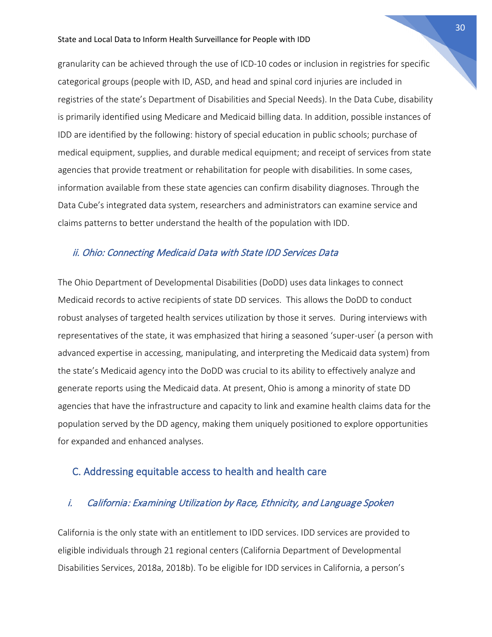granularity can be achieved through the use of ICD-10 codes or inclusion in registries for specific categorical groups (people with ID, ASD, and head and spinal cord injuries are included in registries of the state's Department of Disabilities and Special Needs). In the Data Cube, disability is primarily identified using Medicare and Medicaid billing data. In addition, possible instances of IDD are identified by the following: history of special education in public schools; purchase of medical equipment, supplies, and durable medical equipment; and receipt of services from state agencies that provide treatment or rehabilitation for people with disabilities. In some cases, information available from these state agencies can confirm disability diagnoses. Through the Data Cube's integrated data system, researchers and administrators can examine service and claims patterns to better understand the health of the population with IDD.

#### ii. Ohio: Connecting Medicaid Data with State IDD Services Data

The Ohio Department of Developmental Disabilities (DoDD) uses data linkages to connect Medicaid records to active recipients of state DD services. This allows the DoDD to conduct robust analyses of targeted health services utilization by those it serves. During interviews with representatives of the state, it was emphasized that hiring a seasoned 'super-user' (a person with advanced expertise in accessing, manipulating, and interpreting the Medicaid data system) from the state's Medicaid agency into the DoDD was crucial to its ability to effectively analyze and generate reports using the Medicaid data. At present, Ohio is among a minority of state DD agencies that have the infrastructure and capacity to link and examine health claims data for the population served by the DD agency, making them uniquely positioned to explore opportunities for expanded and enhanced analyses.

#### C. Addressing equitable access to health and health care

#### i. California: Examining Utilization by Race, Ethnicity, and Language Spoken

California is the only state with an entitlement to IDD services. IDD services are provided to eligible individuals through 21 regional centers (California Department of Developmental Disabilities Services, 2018a, 2018b). To be eligible for IDD services in California, a person's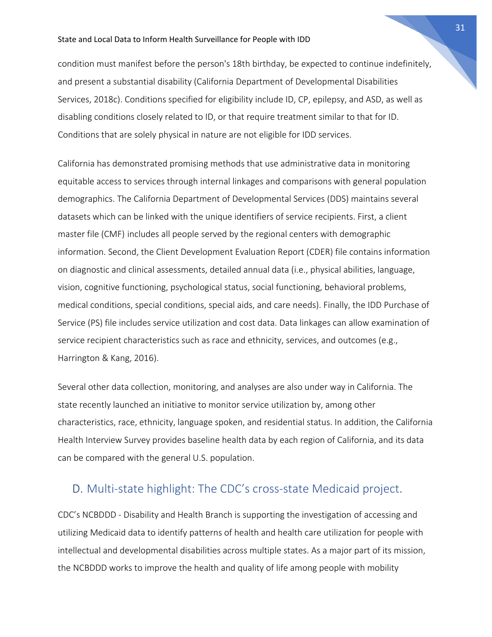condition must manifest before the person's 18th birthday, be expected to continue indefinitely, and present a substantial disability (California Department of Developmental Disabilities Services, 2018c). Conditions specified for eligibility include ID, CP, epilepsy, and ASD, as well as disabling conditions closely related to ID, or that require treatment similar to that for ID. Conditions that are solely physical in nature are not eligible for IDD services.

California has demonstrated promising methods that use administrative data in monitoring equitable access to services through internal linkages and comparisons with general population demographics. The California Department of Developmental Services (DDS) maintains several datasets which can be linked with the unique identifiers of service recipients. First, a client master file (CMF) includes all people served by the regional centers with demographic information. Second, the Client Development Evaluation Report (CDER) file contains information on diagnostic and clinical assessments, detailed annual data (i.e., physical abilities, language, vision, cognitive functioning, psychological status, social functioning, behavioral problems, medical conditions, special conditions, special aids, and care needs). Finally, the IDD Purchase of Service (PS) file includes service utilization and cost data. Data linkages can allow examination of service recipient characteristics such as race and ethnicity, services, and outcomes (e.g., Harrington & Kang, 2016).

Several other data collection, monitoring, and analyses are also under way in California. The state recently launched an initiative to monitor service utilization by, among other characteristics, race, ethnicity, language spoken, and residential status. In addition, the California Health Interview Survey provides baseline health data by each region of California, and its data can be compared with the general U.S. population.

## D. Multi-state highlight: The CDC's cross-state Medicaid project.

CDC's NCBDDD - Disability and Health Branch is supporting the investigation of accessing and utilizing Medicaid data to identify patterns of health and health care utilization for people with intellectual and developmental disabilities across multiple states. As a major part of its mission, the NCBDDD works to improve the health and quality of life among people with mobility

31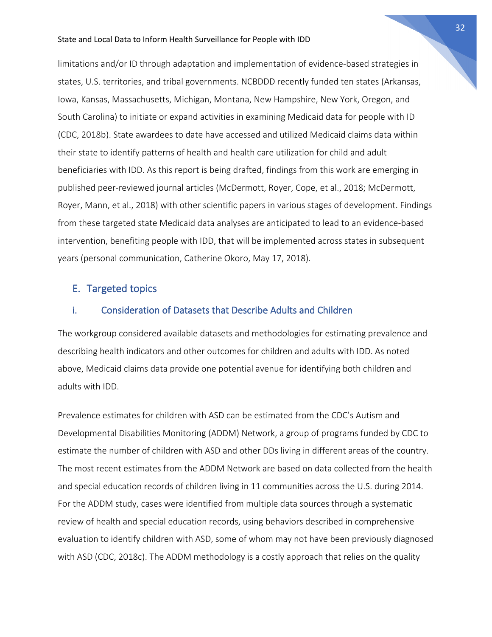limitations and/or ID through adaptation and implementation of evidence-based strategies in states, U.S. territories, and tribal governments. NCBDDD recently funded ten states (Arkansas, Iowa, Kansas, Massachusetts, Michigan, Montana, New Hampshire, New York, Oregon, and South Carolina) to initiate or expand activities in examining Medicaid data for people with ID (CDC, 2018b). State awardees to date have accessed and utilized Medicaid claims data within their state to identify patterns of health and health care utilization for child and adult beneficiaries with IDD. As this report is being drafted, findings from this work are emerging in published peer-reviewed journal articles (McDermott, Royer, Cope, et al., 2018; McDermott, Royer, Mann, et al., 2018) with other scientific papers in various stages of development. Findings from these targeted state Medicaid data analyses are anticipated to lead to an evidence-based intervention, benefiting people with IDD, that will be implemented across states in subsequent years (personal communication, Catherine Okoro, May 17, 2018).

#### E. Targeted topics

#### i. Consideration of Datasets that Describe Adults and Children

The workgroup considered available datasets and methodologies for estimating prevalence and describing health indicators and other outcomes for children and adults with IDD. As noted above, Medicaid claims data provide one potential avenue for identifying both children and adults with IDD.

Prevalence estimates for children with ASD can be estimated from the CDC's Autism and Developmental Disabilities Monitoring (ADDM) Network, a group of programs funded by CDC to estimate the number of children with ASD and other DDs living in different areas of the country. The most recent estimates from the ADDM Network are based on data collected from the health and special education records of children living in 11 communities across the U.S. during 2014. For the ADDM study, cases were identified from multiple data sources through a systematic review of health and special education records, using behaviors described in comprehensive evaluation to identify children with ASD, some of whom may not have been previously diagnosed with ASD (CDC, 2018c). The ADDM methodology is a costly approach that relies on the quality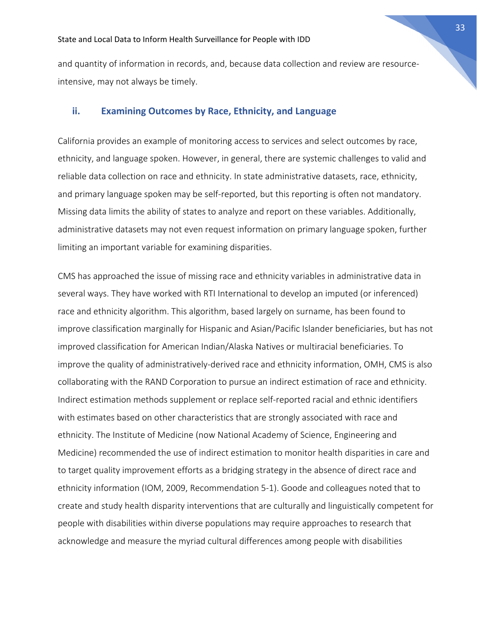and quantity of information in records, and, because data collection and review are resourceintensive, may not always be timely.

#### **ii. Examining Outcomes by Race, Ethnicity, and Language**

California provides an example of monitoring access to services and select outcomes by race, ethnicity, and language spoken. However, in general, there are systemic challenges to valid and reliable data collection on race and ethnicity. In state administrative datasets, race, ethnicity, and primary language spoken may be self-reported, but this reporting is often not mandatory. Missing data limits the ability of states to analyze and report on these variables. Additionally, administrative datasets may not even request information on primary language spoken, further limiting an important variable for examining disparities.

CMS has approached the issue of missing race and ethnicity variables in administrative data in several ways. They have worked with RTI International to develop an imputed (or inferenced) race and ethnicity algorithm. This algorithm, based largely on surname, has been found to improve classification marginally for Hispanic and Asian/Pacific Islander beneficiaries, but has not improved classification for American Indian/Alaska Natives or multiracial beneficiaries. To improve the quality of administratively-derived race and ethnicity information, OMH, CMS is also collaborating with the RAND Corporation to pursue an indirect estimation of race and ethnicity. Indirect estimation methods supplement or replace self-reported racial and ethnic identifiers with estimates based on other characteristics that are strongly associated with race and ethnicity. The Institute of Medicine (now National Academy of Science, Engineering and Medicine) recommended the use of indirect estimation to monitor health disparities in care and to target quality improvement efforts as a bridging strategy in the absence of direct race and ethnicity information (IOM, 2009, Recommendation 5-1). Goode and colleagues noted that to create and study health disparity interventions that are culturally and linguistically competent for people with disabilities within diverse populations may require approaches to research that acknowledge and measure the myriad cultural differences among people with disabilities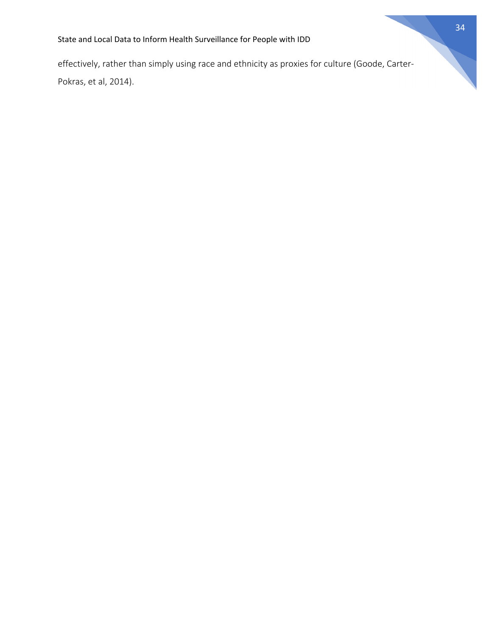effectively, rather than simply using race and ethnicity as proxies for culture (Goode, Carter-Pokras, et al, 2014).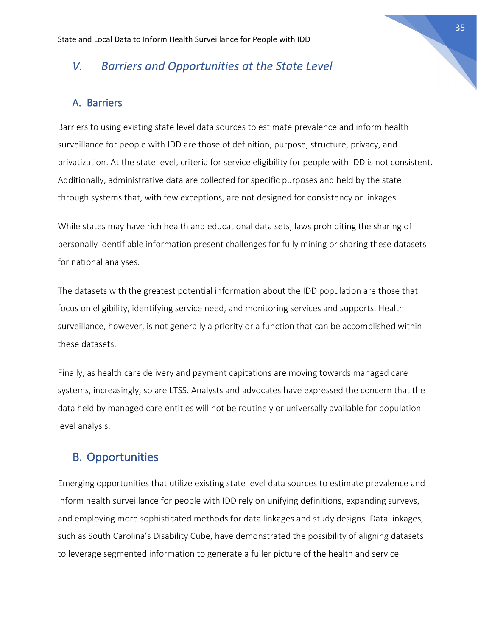## *V. Barriers and Opportunities at the State Level*

#### A. Barriers

Barriers to using existing state level data sources to estimate prevalence and inform health surveillance for people with IDD are those of definition, purpose, structure, privacy, and privatization. At the state level, criteria for service eligibility for people with IDD is not consistent. Additionally, administrative data are collected for specific purposes and held by the state through systems that, with few exceptions, are not designed for consistency or linkages.

While states may have rich health and educational data sets, laws prohibiting the sharing of personally identifiable information present challenges for fully mining or sharing these datasets for national analyses.

The datasets with the greatest potential information about the IDD population are those that focus on eligibility, identifying service need, and monitoring services and supports. Health surveillance, however, is not generally a priority or a function that can be accomplished within these datasets.

Finally, as health care delivery and payment capitations are moving towards managed care systems, increasingly, so are LTSS. Analysts and advocates have expressed the concern that the data held by managed care entities will not be routinely or universally available for population level analysis.

## B. Opportunities

Emerging opportunities that utilize existing state level data sources to estimate prevalence and inform health surveillance for people with IDD rely on unifying definitions, expanding surveys, and employing more sophisticated methods for data linkages and study designs. Data linkages, such as South Carolina's Disability Cube, have demonstrated the possibility of aligning datasets to leverage segmented information to generate a fuller picture of the health and service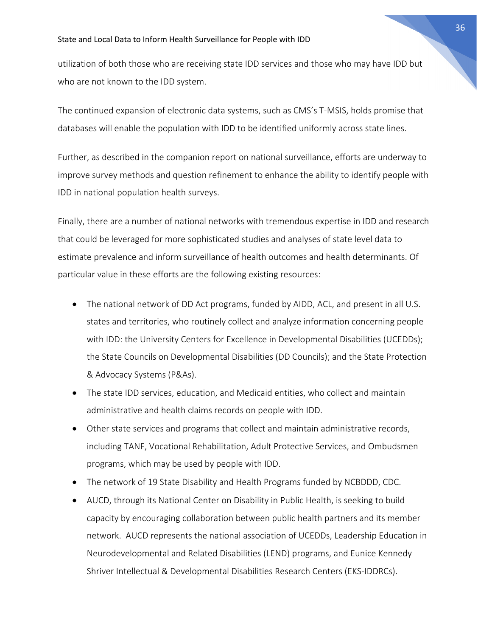utilization of both those who are receiving state IDD services and those who may have IDD but who are not known to the IDD system.

The continued expansion of electronic data systems, such as CMS's T-MSIS, holds promise that databases will enable the population with IDD to be identified uniformly across state lines.

Further, as described in the companion report on national surveillance, efforts are underway to improve survey methods and question refinement to enhance the ability to identify people with IDD in national population health surveys.

Finally, there are a number of national networks with tremendous expertise in IDD and research that could be leveraged for more sophisticated studies and analyses of state level data to estimate prevalence and inform surveillance of health outcomes and health determinants. Of particular value in these efforts are the following existing resources:

- The national network of DD Act programs, funded by AIDD, ACL, and present in all U.S. states and territories, who routinely collect and analyze information concerning people with IDD: the University Centers for Excellence in Developmental Disabilities (UCEDDs); the State Councils on Developmental Disabilities (DD Councils); and the State Protection & Advocacy Systems (P&As).
- The state IDD services, education, and Medicaid entities, who collect and maintain administrative and health claims records on people with IDD.
- Other state services and programs that collect and maintain administrative records, including TANF, Vocational Rehabilitation, Adult Protective Services, and Ombudsmen programs, which may be used by people with IDD.
- The network of 19 State Disability and Health Programs funded by NCBDDD, CDC.
- AUCD, through its National Center on Disability in Public Health, is seeking to build capacity by encouraging collaboration between public health partners and its member network. AUCD represents the national association of UCEDDs, Leadership Education in Neurodevelopmental and Related Disabilities (LEND) programs, and Eunice Kennedy Shriver Intellectual & Developmental Disabilities Research Centers (EKS-IDDRCs).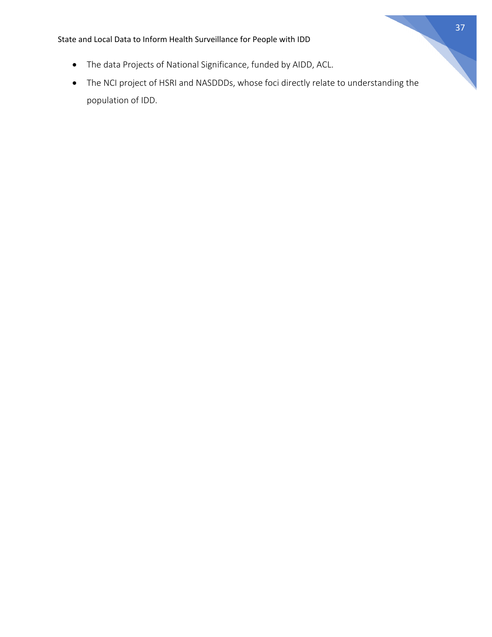- The data Projects of National Significance, funded by AIDD, ACL.
- The NCI project of HSRI and NASDDDs, whose foci directly relate to understanding the population of IDD.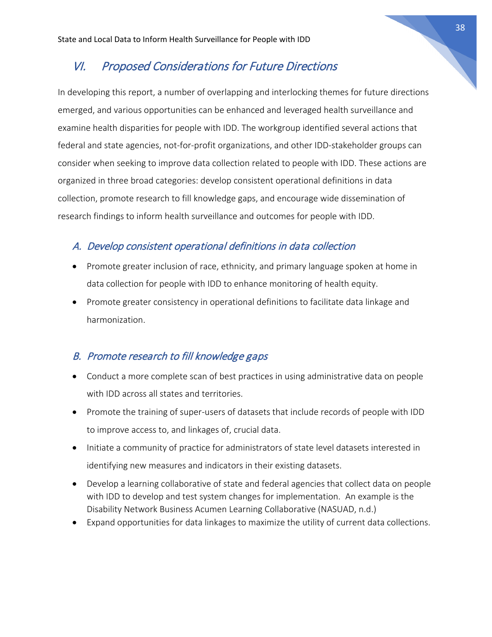## VI. Proposed Considerations for Future Directions

In developing this report, a number of overlapping and interlocking themes for future directions emerged, and various opportunities can be enhanced and leveraged health surveillance and examine health disparities for people with IDD. The workgroup identified several actions that federal and state agencies, not-for-profit organizations, and other IDD-stakeholder groups can consider when seeking to improve data collection related to people with IDD. These actions are organized in three broad categories: develop consistent operational definitions in data collection, promote research to fill knowledge gaps, and encourage wide dissemination of research findings to inform health surveillance and outcomes for people with IDD.

#### A. Develop consistent operational definitions in data collection

- Promote greater inclusion of race, ethnicity, and primary language spoken at home in data collection for people with IDD to enhance monitoring of health equity.
- Promote greater consistency in operational definitions to facilitate data linkage and harmonization.

#### B. Promote research to fill knowledge gaps

- Conduct a more complete scan of best practices in using administrative data on people with IDD across all states and territories.
- Promote the training of super-users of datasets that include records of people with IDD to improve access to, and linkages of, crucial data.
- Initiate a community of practice for administrators of state level datasets interested in identifying new measures and indicators in their existing datasets.
- Develop a learning collaborative of state and federal agencies that collect data on people with IDD to develop and test system changes for implementation. An example is the Disability Network Business Acumen Learning Collaborative (NASUAD, n.d.)
- Expand opportunities for data linkages to maximize the utility of current data collections.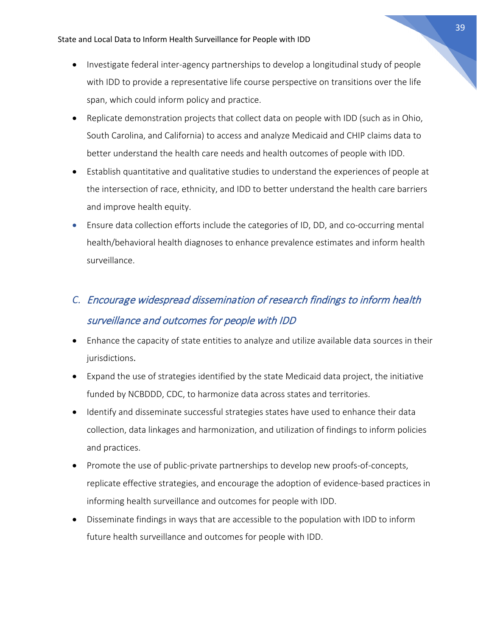- Investigate federal inter-agency partnerships to develop a longitudinal study of people with IDD to provide a representative life course perspective on transitions over the life span, which could inform policy and practice.
- Replicate demonstration projects that collect data on people with IDD (such as in Ohio, South Carolina, and California) to access and analyze Medicaid and CHIP claims data to better understand the health care needs and health outcomes of people with IDD.
- Establish quantitative and qualitative studies to understand the experiences of people at the intersection of race, ethnicity, and IDD to better understand the health care barriers and improve health equity.
- Ensure data collection efforts include the categories of ID, DD, and co-occurring mental health/behavioral health diagnoses to enhance prevalence estimates and inform health surveillance.

## *C.* Encourage widespread dissemination of research findings to inform health surveillance and outcomes for people with IDD

- Enhance the capacity of state entities to analyze and utilize available data sources in their jurisdictions.
- Expand the use of strategies identified by the state Medicaid data project, the initiative funded by NCBDDD, CDC, to harmonize data across states and territories.
- Identify and disseminate successful strategies states have used to enhance their data collection, data linkages and harmonization, and utilization of findings to inform policies and practices.
- Promote the use of public-private partnerships to develop new proofs-of-concepts, replicate effective strategies, and encourage the adoption of evidence-based practices in informing health surveillance and outcomes for people with IDD.
- Disseminate findings in ways that are accessible to the population with IDD to inform future health surveillance and outcomes for people with IDD.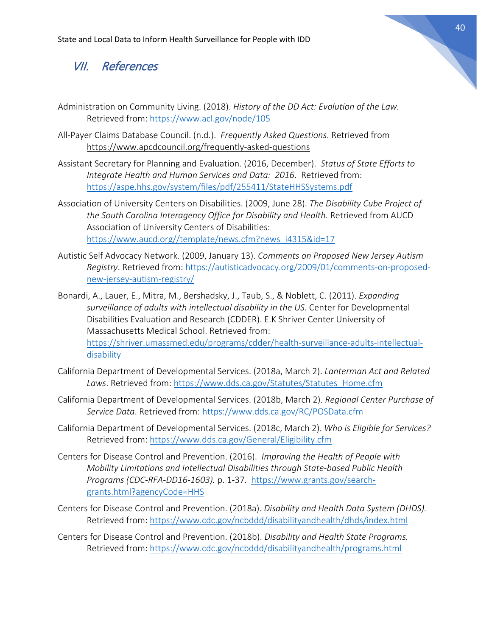## VII. References

- Administration on Community Living. (2018). *History of the DD Act: Evolution of the Law.*  Retrieved from:<https://www.acl.gov/node/105>
- All-Payer Claims Database Council. (n.d.). *Frequently Asked Questions*. Retrieved from <https://www.apcdcouncil.org/frequently-asked-questions>
- Assistant Secretary for Planning and Evaluation. (2016, December). *Status of State Efforts to Integrate Health and Human Services and Data: 2016*. Retrieved from: <https://aspe.hhs.gov/system/files/pdf/255411/StateHHSSystems.pdf>
- Association of University Centers on Disabilities. (2009, June 28). *The Disability Cube Project of the South Carolina Interagency Office for Disability and Health.* Retrieved from AUCD Association of University Centers of Disabilities: [https://www.aucd.org//template/news.cfm?news\\_i4315&id=17](https://www.aucd.org/template/news.cfm?news_i4315&id=17)
- Autistic Self Advocacy Network. (2009, January 13). *Comments on Proposed New Jersey Autism Registry*. Retrieved from[: https://autisticadvocacy.org/2009/01/comments-on-proposed](https://autisticadvocacy.org/2009/01/comments-on-proposed-new-jersey-autism-registry/)[new-jersey-autism-registry/](https://autisticadvocacy.org/2009/01/comments-on-proposed-new-jersey-autism-registry/)
- Bonardi, A., Lauer, E., Mitra, M., Bershadsky, J., Taub, S., & Noblett, C. (2011). *Expanding surveillance of adults with intellectual disability in the US.* Center for Developmental Disabilities Evaluation and Research (CDDER). E.K Shriver Center University of Massachusetts Medical School. Retrieved from: [https://shriver.umassmed.edu/programs/cdder/health-surveillance-adults-intellectual](https://shriver.umassmed.edu/programs/cdder/health-surveillance-adults-intellectual-disability)[disability](https://shriver.umassmed.edu/programs/cdder/health-surveillance-adults-intellectual-disability)
- California Department of Developmental Services. (2018a, March 2). *Lanterman Act and Related Laws*. Retrieved from: [https://www.dds.ca.gov/Statutes/Statutes\\_Home.cfm](https://www.dds.ca.gov/Statutes/Statutes_Home.cfm)
- California Department of Developmental Services. (2018b, March 2). *Regional Center Purchase of Service Data*. Retrieved from:<https://www.dds.ca.gov/RC/POSData.cfm>
- California Department of Developmental Services. (2018c, March 2). *Who is Eligible for Services?*  Retrieved from:<https://www.dds.ca.gov/General/Eligibility.cfm>
- Centers for Disease Control and Prevention. (2016). *Improving the Health of People with Mobility Limitations and Intellectual Disabilities through State-based Public Health Programs (CDC-RFA-DD16-1603).* p. 1-37. [https://www.grants.gov/search](https://www.grants.gov/search-grants.html?agencyCode=HHS)[grants.html?agencyCode=HHS](https://www.grants.gov/search-grants.html?agencyCode=HHS)
- Centers for Disease Control and Prevention. (2018a). *Disability and Health Data System (DHDS).*  Retrieved from: <https://www.cdc.gov/ncbddd/disabilityandhealth/dhds/index.html>
- Centers for Disease Control and Prevention. (2018b). *Disability and Health State Programs.* Retrieved from:<https://www.cdc.gov/ncbddd/disabilityandhealth/programs.html>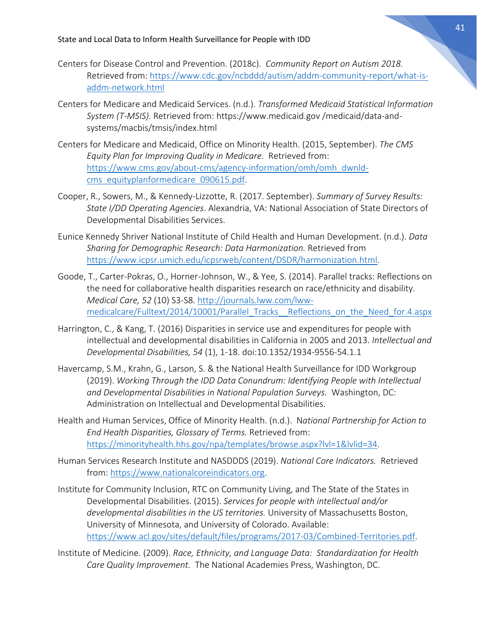- Centers for Disease Control and Prevention. (2018c). *Community Report on Autism 2018.* Retrieved from: [https://www.cdc.gov/ncbddd/autism/addm-community-report/what-is](https://www.cdc.gov/ncbddd/autism/addm-community-report/what-is-addm-network.html)[addm-network.html](https://www.cdc.gov/ncbddd/autism/addm-community-report/what-is-addm-network.html)
- Centers for Medicare and Medicaid Services. (n.d.). *Transformed Medicaid Statistical Information System (T-MSIS).* Retrieved from: https://www.medicaid.gov /medicaid/data-andsystems/macbis/tmsis/index.html
- Centers for Medicare and Medicaid, Office on Minority Health. (2015, September). *The CMS Equity Plan for Improving Quality in Medicare.* Retrieved from: [https://www.cms.gov/about-cms/agency-information/omh/omh\\_dwnld](https://www.cms.gov/about-cms/agency-information/omh/omh_dwnld-cms_equityplanformedicare_090615.pdf)[cms\\_equityplanformedicare\\_090615.pdf.](https://www.cms.gov/about-cms/agency-information/omh/omh_dwnld-cms_equityplanformedicare_090615.pdf)
- Cooper, R., Sowers, M., & Kennedy-Lizzotte, R. (2017. September). *Summary of Survey Results: State I/DD Operating Agencies*. Alexandria, VA: National Association of State Directors of Developmental Disabilities Services.
- Eunice Kennedy Shriver National Institute of Child Health and Human Development. (n.d.). *Data Sharing for Demographic Research: Data Harmonization.* Retrieved from [https://www.icpsr.umich.edu/icpsrweb/content/DSDR/harmonization.html.](https://www.icpsr.umich.edu/icpsrweb/content/DSDR/harmonization.html)
- Goode, T., Carter-Pokras, O., Horner-Johnson, W., & Yee, S. (2014). Parallel tracks: Reflections on the need for collaborative health disparities research on race/ethnicity and disability. *Medical Care, 52* (10) S3-S8. [http://journals.lww.com/lww](http://journals.lww.com/lww-medicalcare/Fulltext/2014/10001/Parallel_Tracks__Reflections_on_the_Need_for.4.aspx)[medicalcare/Fulltext/2014/10001/Parallel\\_Tracks\\_\\_Reflections\\_on\\_the\\_Need\\_for.4.aspx](http://journals.lww.com/lww-medicalcare/Fulltext/2014/10001/Parallel_Tracks__Reflections_on_the_Need_for.4.aspx)
- Harrington, C., & Kang, T. (2016) Disparities in service use and expenditures for people with intellectual and developmental disabilities in California in 2005 and 2013. *Intellectual and Developmental Disabilities, 54* (1), 1-18. doi:10.1352/1934-9556-54.1.1
- Havercamp, S.M., Krahn, G., Larson, S. & the National Health Surveillance for IDD Workgroup (2019). *Working Through the IDD Data Conundrum: Identifying People with Intellectual and Developmental Disabilities in National Population Surveys.* Washington, DC: Administration on Intellectual and Developmental Disabilities.
- Health and Human Services, Office of Minority Health. (n.d.). N*ational Partnership for Action to End Health Disparities, Glossary of Terms.* Retrieved from: [https://minorityhealth.hhs.gov/npa/templates/browse.aspx?lvl=1&lvlid=34.](https://minorityhealth.hhs.gov/npa/templates/browse.aspx?lvl=1&lvlid=34)
- Human Services Research Institute and NASDDDS (2019). *National Core Indicators.* Retrieved from: [https://www.nationalcoreindicators.org.](https://www.nationalcoreindicators.org/)
- Institute for Community Inclusion, RTC on Community Living, and The State of the States in Developmental Disabilities. (2015). *Services for people with intellectual and/or developmental disabilities in the US territories.* University of Massachusetts Boston, University of Minnesota, and University of Colorado. Available: [https://www.acl.gov/sites/default/files/programs/2017-03/Combined-Territories.pdf.](https://www.acl.gov/sites/default/files/programs/2017-03/Combined-Territories.pdf)
- Institute of Medicine. (2009). *Race, Ethnicity, and Language Data: Standardization for Health Care Quality Improvement.* The National Academies Press, Washington, DC.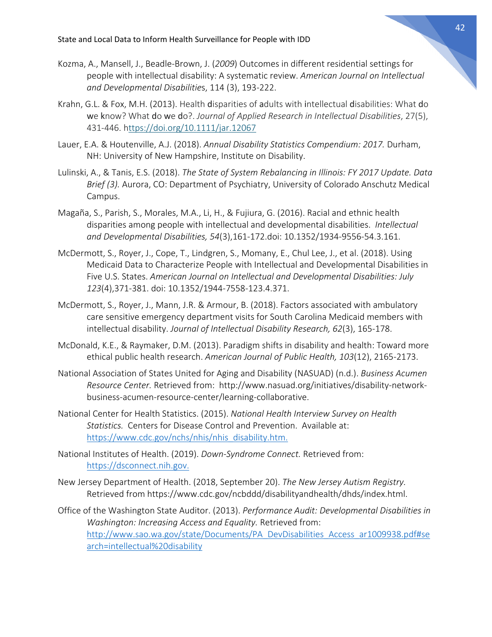- Kozma, A., Mansell, J., Beadle-Brown, J. (*2009*) Outcomes in different residential settings for people with intellectual disability: A systematic review. *American Journal on Intellectual and Developmental Disabilitie*s, 114 (3), 193-222.
- Krahn, G.L. & Fox, M.H. (2013). Health disparities of adults with intellectual disabilities: What do we know? What do we do?. *Journal of Applied Research in Intellectual Disabilities*, 27(5), 431-446. <https://doi.org/10.1111/jar.12067>
- Lauer, E.A. & Houtenville, A.J. (2018). *Annual Disability Statistics Compendium: 2017.* Durham, NH: University of New Hampshire, Institute on Disability.
- Lulinski, A., & Tanis, E.S. (2018). *The State of System Rebalancing in Illinois: FY 2017 Update. Data Brief (3).* Aurora, CO: Department of Psychiatry, University of Colorado Anschutz Medical Campus.
- Magaña, S., Parish, S., Morales, M.A., Li, H., & Fujiura, G. (2016). Racial and ethnic health disparities among people with intellectual and developmental disabilities. *Intellectual and Developmental Disabilities, 54*(3),161-172.doi: 10.1352/1934-9556-54.3.161.
- McDermott, S., Royer, J., Cope, T., Lindgren, S., Momany, E., Chul Lee, J., et al. (2018). Using Medicaid Data to Characterize People with Intellectual and Developmental Disabilities in Five U.S. States. *American Journal on Intellectual and Developmental Disabilities: July 123*(4),371-381. doi: 10.1352/1944-7558-123.4.371.
- McDermott, S., Royer, J., Mann, J.R. & Armour, B. (2018). Factors associated with ambulatory care sensitive emergency department visits for South Carolina Medicaid members with intellectual disability. *Journal of Intellectual Disability Research, 62*(3), 165-178.
- McDonald, K.E., & Raymaker, D.M. (2013). Paradigm shifts in disability and health: Toward more ethical public health research. *American Journal of Public Health, 103*(12), 2165-2173.
- National Association of States United for Aging and Disability (NASUAD) (n.d.). *Business Acumen Resource Center.* Retrieved from: http://www.nasuad.org/initiatives/disability-networkbusiness-acumen-resource-center/learning-collaborative.
- National Center for Health Statistics. (2015). *National Health Interview Survey on Health Statistics.* Centers for Disease Control and Prevention. Available at: [https://www.cdc.gov/nchs/nhis/nhis\\_disability.htm.](https://www.cdc.gov/nchs/nhis/nhis_disability.htm)
- National Institutes of Health. (2019). *Down-Syndrome Connect.* Retrieved from: [https://dsconnect.nih.gov.](https://dsconnect.nih.gov/)
- New Jersey Department of Health. (2018, September 20). *The New Jersey Autism Registry.* Retrieved from https://www.cdc.gov/ncbddd/disabilityandhealth/dhds/index.html.
- Office of the Washington State Auditor. (2013). *Performance Audit: Developmental Disabilities in Washington: Increasing Access and Equality.* Retrieved from: [http://www.sao.wa.gov/state/Documents/PA\\_DevDisabilities\\_Access\\_ar1009938.pdf#se](http://www.sao.wa.gov/state/Documents/PA_DevDisabilities_Access_ar1009938.pdf#search=intellectual%20disability) [arch=intellectual%20disability](http://www.sao.wa.gov/state/Documents/PA_DevDisabilities_Access_ar1009938.pdf#search=intellectual%20disability)